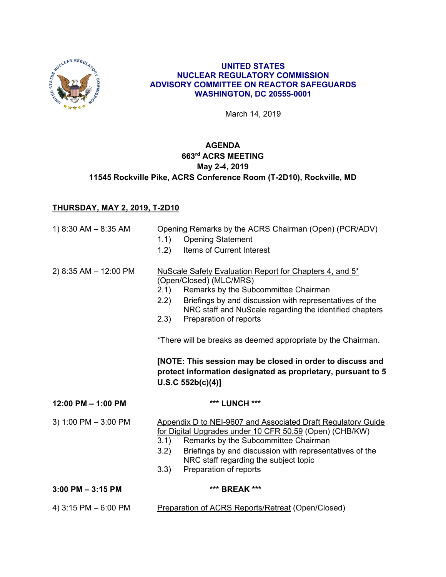

### **UNITED STATES NUCLEAR REGULATORY COMMISSION ADVISORY COMMITTEE ON REACTOR SAFEGUARDS WASHINGTON, DC 20555-0001**

March 14, 2019

## **AGENDA 663rd ACRS MEETING May 2-4, 2019 11545 Rockville Pike, ACRS Conference Room (T-2D10), Rockville, MD**

### **THURSDAY, MAY 2, 2019, T-2D10**

| 1) 8:30 AM - 8:35 AM   | Opening Remarks by the ACRS Chairman (Open) (PCR/ADV)<br>1.1)<br><b>Opening Statement</b><br>Items of Current Interest<br>(1.2)                                                                                                                                                                                                                                                                                                                                                                                    |  |
|------------------------|--------------------------------------------------------------------------------------------------------------------------------------------------------------------------------------------------------------------------------------------------------------------------------------------------------------------------------------------------------------------------------------------------------------------------------------------------------------------------------------------------------------------|--|
| 2) 8:35 AM - 12:00 PM  | NuScale Safety Evaluation Report for Chapters 4, and 5*<br>(Open/Closed) (MLC/MRS)<br>2.1) Remarks by the Subcommittee Chairman<br>2.2)<br>Briefings by and discussion with representatives of the<br>NRC staff and NuScale regarding the identified chapters<br>Preparation of reports<br>(2.3)<br>*There will be breaks as deemed appropriate by the Chairman.<br>[NOTE: This session may be closed in order to discuss and<br>protect information designated as proprietary, pursuant to 5<br>U.S.C.552b(c)(4)] |  |
|                        |                                                                                                                                                                                                                                                                                                                                                                                                                                                                                                                    |  |
| $12:00$ PM $- 1:00$ PM | *** LUNCH ***                                                                                                                                                                                                                                                                                                                                                                                                                                                                                                      |  |
| 3) 1:00 PM - 3:00 PM   | Appendix D to NEI-9607 and Associated Draft Regulatory Guide<br>for Digital Upgrades under 10 CFR 50.59 (Open) (CHB/KW)<br>3.1)<br>Remarks by the Subcommittee Chairman<br>Briefings by and discussion with representatives of the<br>3.2)<br>NRC staff regarding the subject topic<br>Preparation of reports<br>3.3)                                                                                                                                                                                              |  |
| $3:00$ PM $-3:15$ PM   | *** BREAK ***                                                                                                                                                                                                                                                                                                                                                                                                                                                                                                      |  |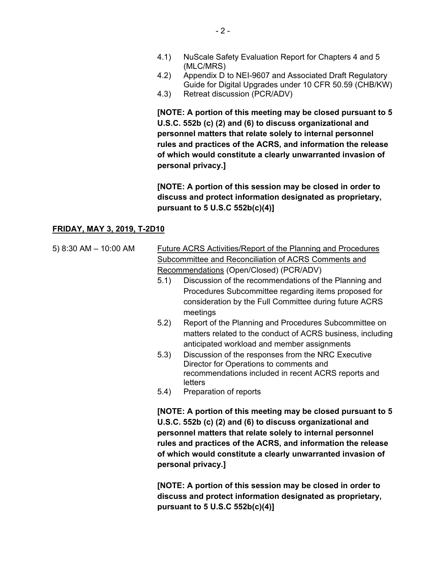- 4.1) NuScale Safety Evaluation Report for Chapters 4 and 5 (MLC/MRS)
- 4.2) Appendix D to NEI-9607 and Associated Draft Regulatory Guide for Digital Upgrades under 10 CFR 50.59 (CHB/KW)
- 4.3) Retreat discussion (PCR/ADV)

**[NOTE: A portion of this meeting may be closed pursuant to 5 U.S.C. 552b (c) (2) and (6) to discuss organizational and personnel matters that relate solely to internal personnel rules and practices of the ACRS, and information the release of which would constitute a clearly unwarranted invasion of personal privacy.]** 

**[NOTE: A portion of this session may be closed in order to discuss and protect information designated as proprietary, pursuant to 5 U.S.C 552b(c)(4)]** 

### **FRIDAY, MAY 3, 2019, T-2D10**

- 5) 8:30 AM 10:00 AM Future ACRS Activities/Report of the Planning and Procedures Subcommittee and Reconciliation of ACRS Comments and Recommendations (Open/Closed) (PCR/ADV)
	- 5.1) Discussion of the recommendations of the Planning and Procedures Subcommittee regarding items proposed for consideration by the Full Committee during future ACRS meetings
	- 5.2) Report of the Planning and Procedures Subcommittee on matters related to the conduct of ACRS business, including anticipated workload and member assignments
	- 5.3) Discussion of the responses from the NRC Executive Director for Operations to comments and recommendations included in recent ACRS reports and letters
	- 5.4) Preparation of reports

**[NOTE: A portion of this meeting may be closed pursuant to 5 U.S.C. 552b (c) (2) and (6) to discuss organizational and personnel matters that relate solely to internal personnel rules and practices of the ACRS, and information the release of which would constitute a clearly unwarranted invasion of personal privacy.]** 

**[NOTE: A portion of this session may be closed in order to discuss and protect information designated as proprietary, pursuant to 5 U.S.C 552b(c)(4)]**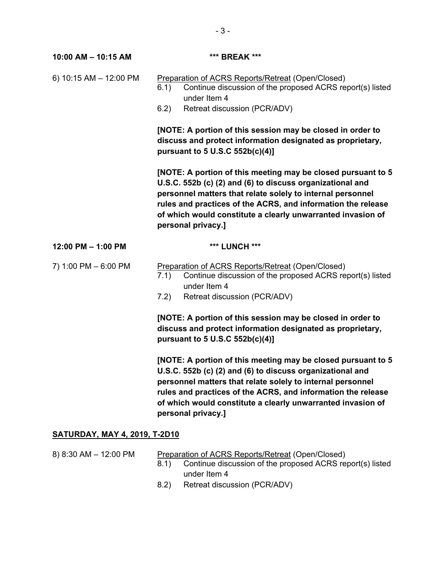| 10:00 AM - 10:15 AM                  | *** BREAK ***                                                                                                                                                                                                                                                                                                                                |
|--------------------------------------|----------------------------------------------------------------------------------------------------------------------------------------------------------------------------------------------------------------------------------------------------------------------------------------------------------------------------------------------|
| 6) 10:15 AM $-$ 12:00 PM             | Preparation of ACRS Reports/Retreat (Open/Closed)<br>Continue discussion of the proposed ACRS report(s) listed<br>6.1)<br>under Item 4                                                                                                                                                                                                       |
|                                      | Retreat discussion (PCR/ADV)<br>6.2)                                                                                                                                                                                                                                                                                                         |
|                                      | [NOTE: A portion of this session may be closed in order to<br>discuss and protect information designated as proprietary,<br>pursuant to 5 U.S.C 552b(c)(4)]                                                                                                                                                                                  |
|                                      | [NOTE: A portion of this meeting may be closed pursuant to 5<br>U.S.C. 552b (c) (2) and (6) to discuss organizational and<br>personnel matters that relate solely to internal personnel<br>rules and practices of the ACRS, and information the release<br>of which would constitute a clearly unwarranted invasion of<br>personal privacy.] |
| 12:00 PM - 1:00 PM                   | *** LUNCH ***                                                                                                                                                                                                                                                                                                                                |
| 7) 1:00 PM - 6:00 PM                 | Preparation of ACRS Reports/Retreat (Open/Closed)<br>Continue discussion of the proposed ACRS report(s) listed<br>7.1)<br>under Item 4<br>Retreat discussion (PCR/ADV)<br>7.2)                                                                                                                                                               |
|                                      | [NOTE: A portion of this session may be closed in order to<br>discuss and protect information designated as proprietary,<br>pursuant to 5 U.S.C 552b(c)(4)]                                                                                                                                                                                  |
|                                      | [NOTE: A portion of this meeting may be closed pursuant to 5<br>U.S.C. 552b (c) (2) and (6) to discuss organizational and<br>personnel matters that relate solely to internal personnel<br>rules and practices of the ACRS, and information the release<br>of which would constitute a clearly unwarranted invasion of<br>personal privacy.] |
| <b>SATURDAY, MAY 4, 2019, T-2D10</b> |                                                                                                                                                                                                                                                                                                                                              |
| 8) 8:30 AM - 12:00 PM                | Preparation of ACRS Reports/Retreat (Open/Closed)<br>Continue discussion of the proposed ACRS report(s) listed<br>8.1)<br>under Item 4                                                                                                                                                                                                       |

8.2) Retreat discussion (PCR/ADV)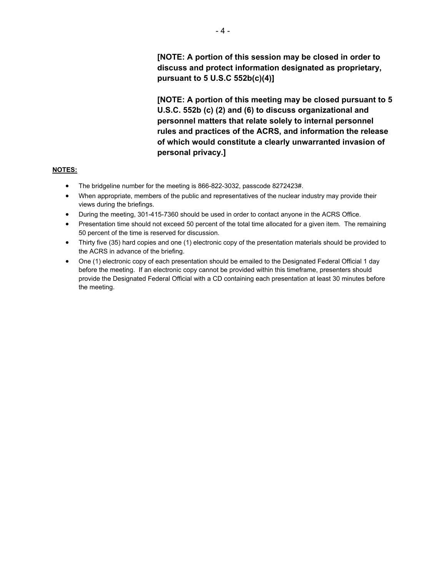**[NOTE: A portion of this meeting may be closed pursuant to 5 U.S.C. 552b (c) (2) and (6) to discuss organizational and personnel matters that relate solely to internal personnel rules and practices of the ACRS, and information the release of which would constitute a clearly unwarranted invasion of personal privacy.]** 

#### **NOTES:**

- The bridgeline number for the meeting is 866-822-3032, passcode 8272423#.
- When appropriate, members of the public and representatives of the nuclear industry may provide their views during the briefings.
- During the meeting, 301-415-7360 should be used in order to contact anyone in the ACRS Office.
- Presentation time should not exceed 50 percent of the total time allocated for a given item. The remaining 50 percent of the time is reserved for discussion.
- Thirty five (35) hard copies and one (1) electronic copy of the presentation materials should be provided to the ACRS in advance of the briefing.
- One (1) electronic copy of each presentation should be emailed to the Designated Federal Official 1 day before the meeting. If an electronic copy cannot be provided within this timeframe, presenters should provide the Designated Federal Official with a CD containing each presentation at least 30 minutes before the meeting.